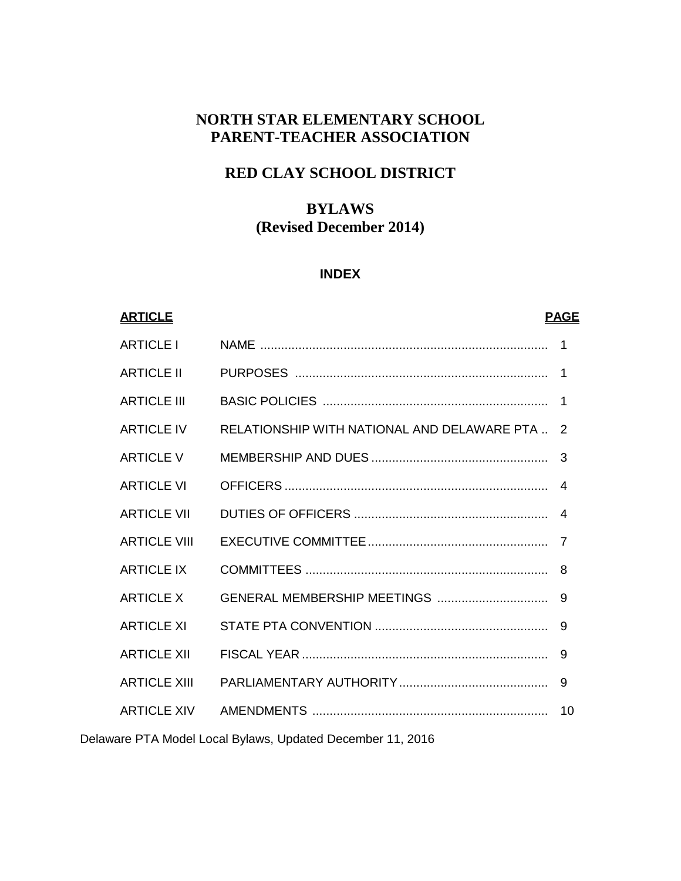# **NORTH STAR ELEMENTARY SCHOOL PARENT-TEACHER ASSOCIATION**

# **RED CLAY SCHOOL DISTRICT**

## **BYLAWS (Revised December 2014)**

#### **INDEX**

# **ARTICLE PAGE** ARTICLE I NAME ................................................................................... 1 ARTICLE II PURPOSES ......................................................................... 1 ARTICLE III BASIC POLICIES ................................................................. 1 ARTICLE IV RELATIONSHIP WITH NATIONAL AND DELAWARE PTA .. 2 ARTICLE V MEMBERSHIP AND DUES ................................................... 3 ARTICLE VI OFFICERS ............................................................................ 4 ARTICLE VII DUTIES OF OFFICERS ........................................................ 4 ARTICLE VIII EXECUTIVE COMMITTEE.................................................... 7 ARTICLE IX COMMITTEES ...................................................................... 8 ARTICLE X GENERAL MEMBERSHIP MEETINGS ................................ 9 ARTICLE XI STATE PTA CONVENTION .................................................. 9 ARTICLE XII FISCAL YEAR ....................................................................... 9 ARTICLE XIII PARLIAMENTARY AUTHORITY........................................... 9 ARTICLE XIV AMENDMENTS .................................................................... 10

Delaware PTA Model Local Bylaws, Updated December 11, 2016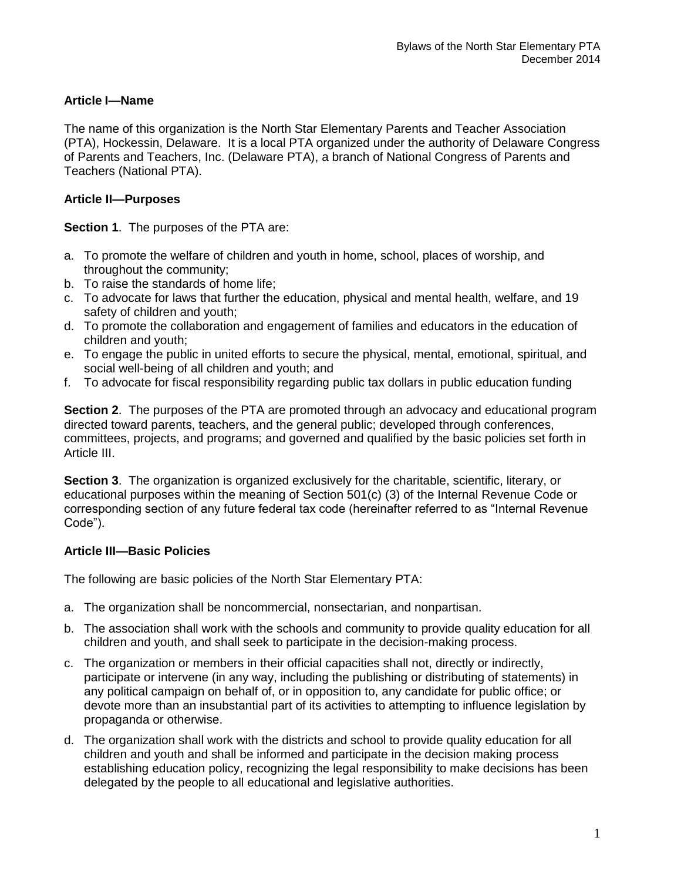## **Article I—Name**

The name of this organization is the North Star Elementary Parents and Teacher Association (PTA), Hockessin, Delaware. It is a local PTA organized under the authority of Delaware Congress of Parents and Teachers, Inc. (Delaware PTA), a branch of National Congress of Parents and Teachers (National PTA).

## **Article II—Purposes**

**Section 1**. The purposes of the PTA are:

- a. To promote the welfare of children and youth in home, school, places of worship, and throughout the community;
- b. To raise the standards of home life;
- c. To advocate for laws that further the education, physical and mental health, welfare, and 19 safety of children and youth;
- d. To promote the collaboration and engagement of families and educators in the education of children and youth;
- e. To engage the public in united efforts to secure the physical, mental, emotional, spiritual, and social well-being of all children and youth; and
- f. To advocate for fiscal responsibility regarding public tax dollars in public education funding

**Section 2**. The purposes of the PTA are promoted through an advocacy and educational program directed toward parents, teachers, and the general public; developed through conferences, committees, projects, and programs; and governed and qualified by the basic policies set forth in Article III.

**Section 3**. The organization is organized exclusively for the charitable, scientific, literary, or educational purposes within the meaning of Section 501(c) (3) of the Internal Revenue Code or corresponding section of any future federal tax code (hereinafter referred to as "Internal Revenue Code").

## **Article III—Basic Policies**

The following are basic policies of the North Star Elementary PTA:

- a. The organization shall be noncommercial, nonsectarian, and nonpartisan.
- b. The association shall work with the schools and community to provide quality education for all children and youth, and shall seek to participate in the decision-making process.
- c. The organization or members in their official capacities shall not, directly or indirectly, participate or intervene (in any way, including the publishing or distributing of statements) in any political campaign on behalf of, or in opposition to, any candidate for public office; or devote more than an insubstantial part of its activities to attempting to influence legislation by propaganda or otherwise.
- d. The organization shall work with the districts and school to provide quality education for all children and youth and shall be informed and participate in the decision making process establishing education policy, recognizing the legal responsibility to make decisions has been delegated by the people to all educational and legislative authorities.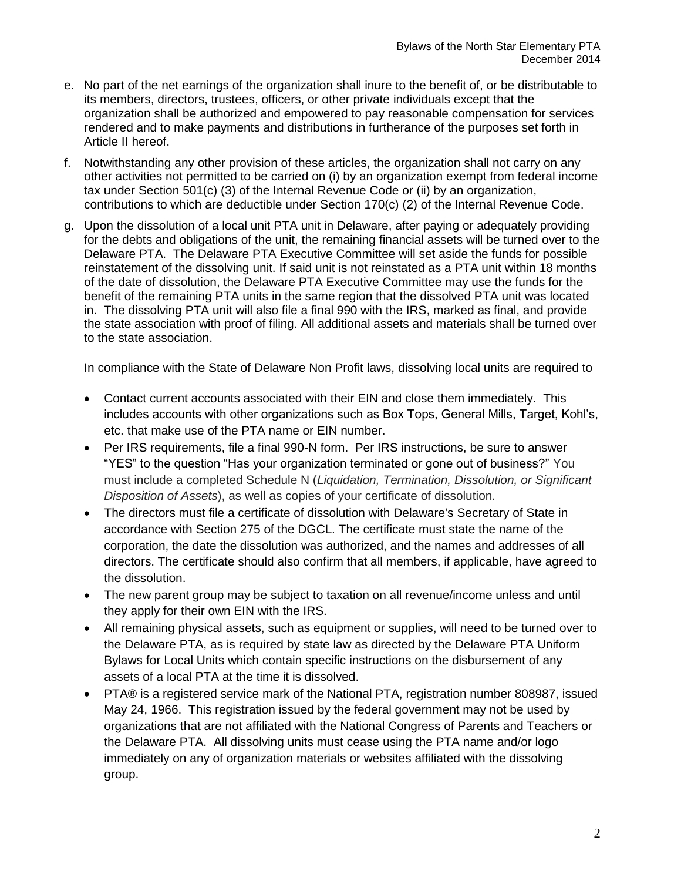- e. No part of the net earnings of the organization shall inure to the benefit of, or be distributable to its members, directors, trustees, officers, or other private individuals except that the organization shall be authorized and empowered to pay reasonable compensation for services rendered and to make payments and distributions in furtherance of the purposes set forth in Article II hereof.
- f. Notwithstanding any other provision of these articles, the organization shall not carry on any other activities not permitted to be carried on (i) by an organization exempt from federal income tax under Section 501(c) (3) of the Internal Revenue Code or (ii) by an organization, contributions to which are deductible under Section 170(c) (2) of the Internal Revenue Code.
- g. Upon the dissolution of a local unit PTA unit in Delaware, after paying or adequately providing for the debts and obligations of the unit, the remaining financial assets will be turned over to the Delaware PTA. The Delaware PTA Executive Committee will set aside the funds for possible reinstatement of the dissolving unit. If said unit is not reinstated as a PTA unit within 18 months of the date of dissolution, the Delaware PTA Executive Committee may use the funds for the benefit of the remaining PTA units in the same region that the dissolved PTA unit was located in. The dissolving PTA unit will also file a final 990 with the IRS, marked as final, and provide the state association with proof of filing. All additional assets and materials shall be turned over to the state association.

In compliance with the State of Delaware Non Profit laws, dissolving local units are required to

- Contact current accounts associated with their EIN and close them immediately. This includes accounts with other organizations such as Box Tops, General Mills, Target, Kohl's, etc. that make use of the PTA name or EIN number.
- Per IRS requirements, file a final 990-N form. Per IRS instructions, be sure to answer "YES" to the question "Has your organization terminated or gone out of business?" You must include a completed Schedule N (*Liquidation, Termination, Dissolution, or Significant Disposition of Assets*), as well as copies of your certificate of dissolution.
- The directors must file a certificate of dissolution with Delaware's Secretary of State in accordance with Section 275 of the DGCL. The certificate must state the name of the corporation, the date the dissolution was authorized, and the names and addresses of all directors. The certificate should also confirm that all members, if applicable, have agreed to the dissolution.
- The new parent group may be subject to taxation on all revenue/income unless and until they apply for their own EIN with the IRS.
- All remaining physical assets, such as equipment or supplies, will need to be turned over to the Delaware PTA, as is required by state law as directed by the Delaware PTA Uniform Bylaws for Local Units which contain specific instructions on the disbursement of any assets of a local PTA at the time it is dissolved.
- PTA® is a registered service mark of the National PTA, registration number 808987, issued May 24, 1966. This registration issued by the federal government may not be used by organizations that are not affiliated with the National Congress of Parents and Teachers or the Delaware PTA. All dissolving units must cease using the PTA name and/or logo immediately on any of organization materials or websites affiliated with the dissolving group.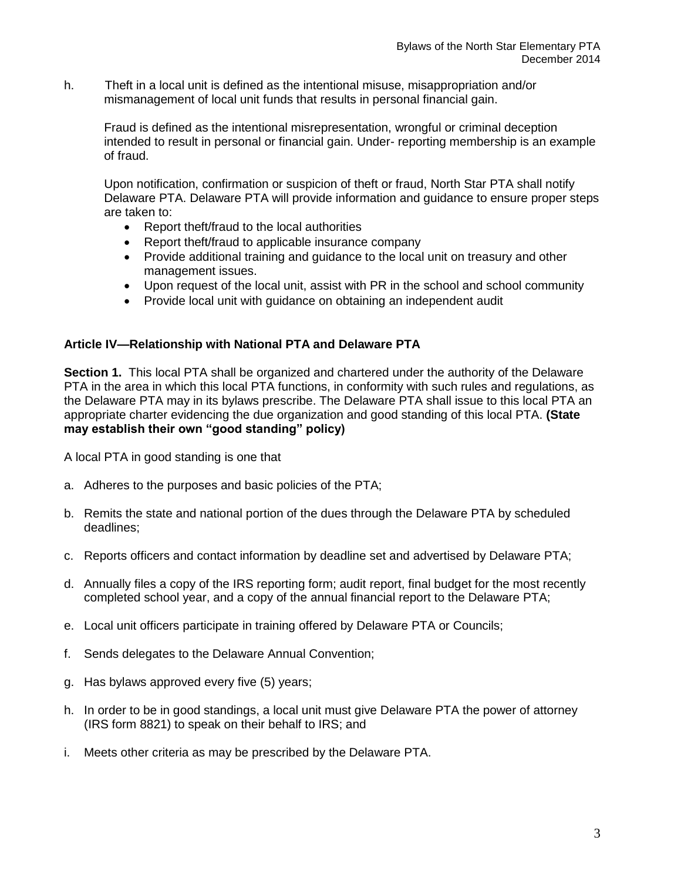h. Theft in a local unit is defined as the intentional misuse, misappropriation and/or mismanagement of local unit funds that results in personal financial gain.

Fraud is defined as the intentional misrepresentation, wrongful or criminal deception intended to result in personal or financial gain. Under- reporting membership is an example of fraud.

Upon notification, confirmation or suspicion of theft or fraud, North Star PTA shall notify Delaware PTA. Delaware PTA will provide information and guidance to ensure proper steps are taken to:

- Report theft/fraud to the local authorities
- Report theft/fraud to applicable insurance company
- Provide additional training and guidance to the local unit on treasury and other management issues.
- Upon request of the local unit, assist with PR in the school and school community
- Provide local unit with quidance on obtaining an independent audit

## **Article IV—Relationship with National PTA and Delaware PTA**

**Section 1.** This local PTA shall be organized and chartered under the authority of the Delaware PTA in the area in which this local PTA functions, in conformity with such rules and regulations, as the Delaware PTA may in its bylaws prescribe. The Delaware PTA shall issue to this local PTA an appropriate charter evidencing the due organization and good standing of this local PTA. **(State may establish their own "good standing" policy)**

A local PTA in good standing is one that

- a. Adheres to the purposes and basic policies of the PTA;
- b. Remits the state and national portion of the dues through the Delaware PTA by scheduled deadlines;
- c. Reports officers and contact information by deadline set and advertised by Delaware PTA;
- d. Annually files a copy of the IRS reporting form; audit report, final budget for the most recently completed school year, and a copy of the annual financial report to the Delaware PTA;
- e. Local unit officers participate in training offered by Delaware PTA or Councils;
- f. Sends delegates to the Delaware Annual Convention;
- g. Has bylaws approved every five (5) years;
- h. In order to be in good standings, a local unit must give Delaware PTA the power of attorney (IRS form 8821) to speak on their behalf to IRS; and
- i. Meets other criteria as may be prescribed by the Delaware PTA.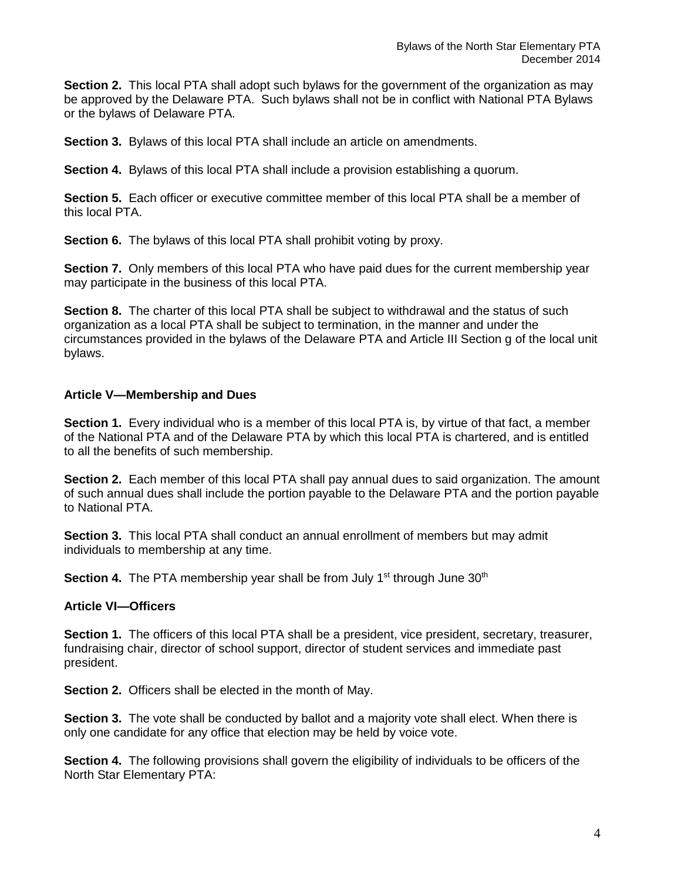**Section 2.** This local PTA shall adopt such bylaws for the government of the organization as may be approved by the Delaware PTA. Such bylaws shall not be in conflict with National PTA Bylaws or the bylaws of Delaware PTA.

**Section 3.** Bylaws of this local PTA shall include an article on amendments.

**Section 4.** Bylaws of this local PTA shall include a provision establishing a quorum.

**Section 5.** Each officer or executive committee member of this local PTA shall be a member of this local PTA.

**Section 6.** The bylaws of this local PTA shall prohibit voting by proxy.

**Section 7.** Only members of this local PTA who have paid dues for the current membership year may participate in the business of this local PTA.

**Section 8.** The charter of this local PTA shall be subject to withdrawal and the status of such organization as a local PTA shall be subject to termination, in the manner and under the circumstances provided in the bylaws of the Delaware PTA and Article III Section g of the local unit bylaws.

#### **Article V—Membership and Dues**

**Section 1.** Every individual who is a member of this local PTA is, by virtue of that fact, a member of the National PTA and of the Delaware PTA by which this local PTA is chartered, and is entitled to all the benefits of such membership.

**Section 2.** Each member of this local PTA shall pay annual dues to said organization. The amount of such annual dues shall include the portion payable to the Delaware PTA and the portion payable to National PTA.

**Section 3.** This local PTA shall conduct an annual enrollment of members but may admit individuals to membership at any time.

**Section 4.** The PTA membership year shall be from July 1<sup>st</sup> through June 30<sup>th</sup>

#### **Article VI—Officers**

**Section 1.** The officers of this local PTA shall be a president, vice president, secretary, treasurer, fundraising chair, director of school support, director of student services and immediate past president.

**Section 2.** Officers shall be elected in the month of May.

**Section 3.** The vote shall be conducted by ballot and a majority vote shall elect. When there is only one candidate for any office that election may be held by voice vote.

**Section 4.** The following provisions shall govern the eligibility of individuals to be officers of the North Star Elementary PTA: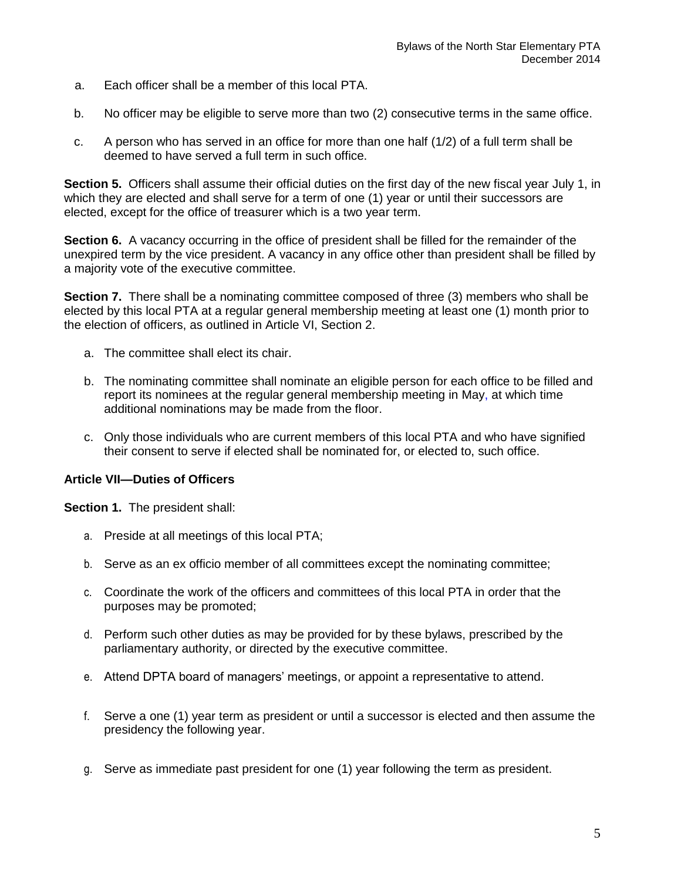- a. Each officer shall be a member of this local PTA.
- b. No officer may be eligible to serve more than two (2) consecutive terms in the same office.
- c. A person who has served in an office for more than one half (1/2) of a full term shall be deemed to have served a full term in such office.

**Section 5.** Officers shall assume their official duties on the first day of the new fiscal year July 1, in which they are elected and shall serve for a term of one (1) year or until their successors are elected, except for the office of treasurer which is a two year term.

**Section 6.** A vacancy occurring in the office of president shall be filled for the remainder of the unexpired term by the vice president. A vacancy in any office other than president shall be filled by a majority vote of the executive committee.

**Section 7.** There shall be a nominating committee composed of three (3) members who shall be elected by this local PTA at a regular general membership meeting at least one (1) month prior to the election of officers, as outlined in Article VI, Section 2.

- a. The committee shall elect its chair.
- b. The nominating committee shall nominate an eligible person for each office to be filled and report its nominees at the regular general membership meeting in May, at which time additional nominations may be made from the floor.
- c. Only those individuals who are current members of this local PTA and who have signified their consent to serve if elected shall be nominated for, or elected to, such office.

#### **Article VII—Duties of Officers**

**Section 1.** The president shall:

- a. Preside at all meetings of this local PTA;
- b. Serve as an ex officio member of all committees except the nominating committee;
- c. Coordinate the work of the officers and committees of this local PTA in order that the purposes may be promoted;
- d. Perform such other duties as may be provided for by these bylaws, prescribed by the parliamentary authority, or directed by the executive committee.
- e. Attend DPTA board of managers' meetings, or appoint a representative to attend.
- f. Serve a one (1) year term as president or until a successor is elected and then assume the presidency the following year.
- g. Serve as immediate past president for one (1) year following the term as president.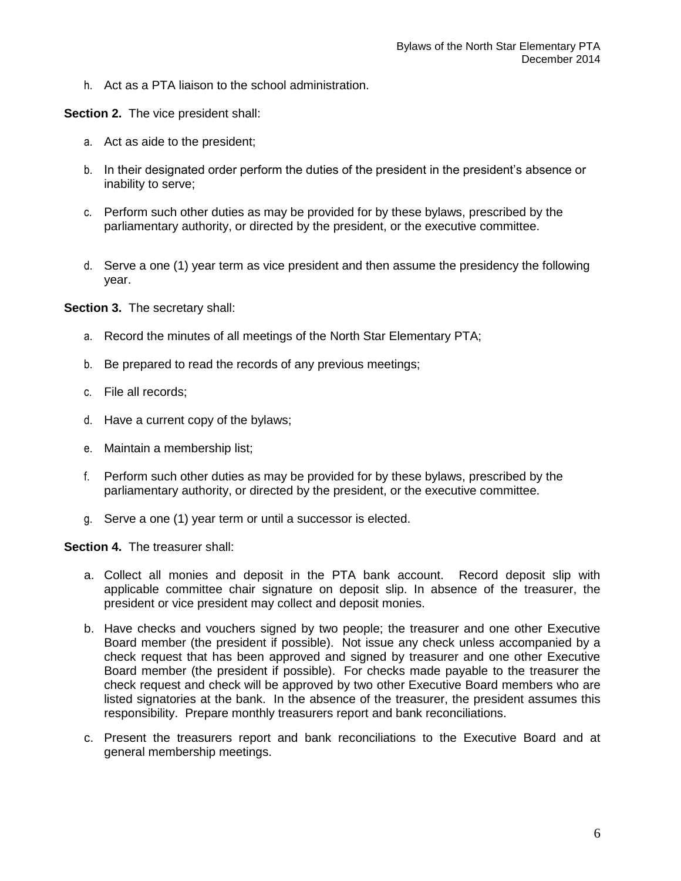h. Act as a PTA liaison to the school administration.

**Section 2.** The vice president shall:

- a. Act as aide to the president;
- b. In their designated order perform the duties of the president in the president's absence or inability to serve;
- c. Perform such other duties as may be provided for by these bylaws, prescribed by the parliamentary authority, or directed by the president, or the executive committee.
- d. Serve a one (1) year term as vice president and then assume the presidency the following year.

**Section 3.** The secretary shall:

- a. Record the minutes of all meetings of the North Star Elementary PTA;
- b. Be prepared to read the records of any previous meetings;
- c. File all records;
- d. Have a current copy of the bylaws;
- e. Maintain a membership list;
- f. Perform such other duties as may be provided for by these bylaws, prescribed by the parliamentary authority, or directed by the president, or the executive committee.
- g. Serve a one (1) year term or until a successor is elected.

**Section 4.** The treasurer shall:

- a. Collect all monies and deposit in the PTA bank account. Record deposit slip with applicable committee chair signature on deposit slip. In absence of the treasurer, the president or vice president may collect and deposit monies.
- b. Have checks and vouchers signed by two people; the treasurer and one other Executive Board member (the president if possible). Not issue any check unless accompanied by a check request that has been approved and signed by treasurer and one other Executive Board member (the president if possible). For checks made payable to the treasurer the check request and check will be approved by two other Executive Board members who are listed signatories at the bank. In the absence of the treasurer, the president assumes this responsibility. Prepare monthly treasurers report and bank reconciliations.
- c. Present the treasurers report and bank reconciliations to the Executive Board and at general membership meetings.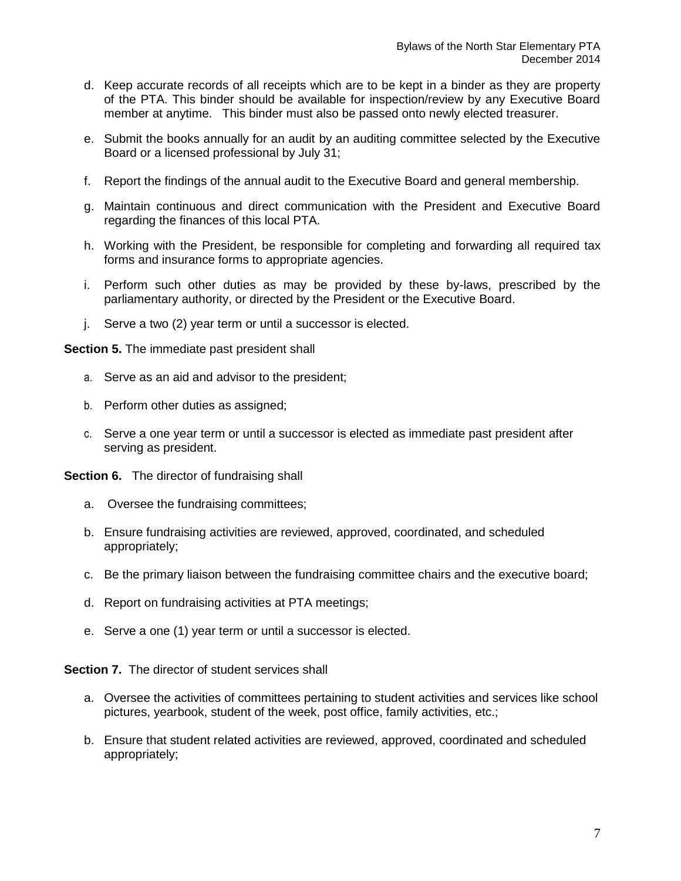- d. Keep accurate records of all receipts which are to be kept in a binder as they are property of the PTA. This binder should be available for inspection/review by any Executive Board member at anytime. This binder must also be passed onto newly elected treasurer.
- e. Submit the books annually for an audit by an auditing committee selected by the Executive Board or a licensed professional by July 31;
- f. Report the findings of the annual audit to the Executive Board and general membership.
- g. Maintain continuous and direct communication with the President and Executive Board regarding the finances of this local PTA.
- h. Working with the President, be responsible for completing and forwarding all required tax forms and insurance forms to appropriate agencies.
- i. Perform such other duties as may be provided by these by-laws, prescribed by the parliamentary authority, or directed by the President or the Executive Board.
- j. Serve a two (2) year term or until a successor is elected.

**Section 5.** The immediate past president shall

- a. Serve as an aid and advisor to the president;
- b. Perform other duties as assigned;
- c. Serve a one year term or until a successor is elected as immediate past president after serving as president.

**Section 6.** The director of fundraising shall

- a. Oversee the fundraising committees;
- b. Ensure fundraising activities are reviewed, approved, coordinated, and scheduled appropriately;
- c. Be the primary liaison between the fundraising committee chairs and the executive board;
- d. Report on fundraising activities at PTA meetings;
- e. Serve a one (1) year term or until a successor is elected.

**Section 7.** The director of student services shall

- a. Oversee the activities of committees pertaining to student activities and services like school pictures, yearbook, student of the week, post office, family activities, etc.;
- b. Ensure that student related activities are reviewed, approved, coordinated and scheduled appropriately;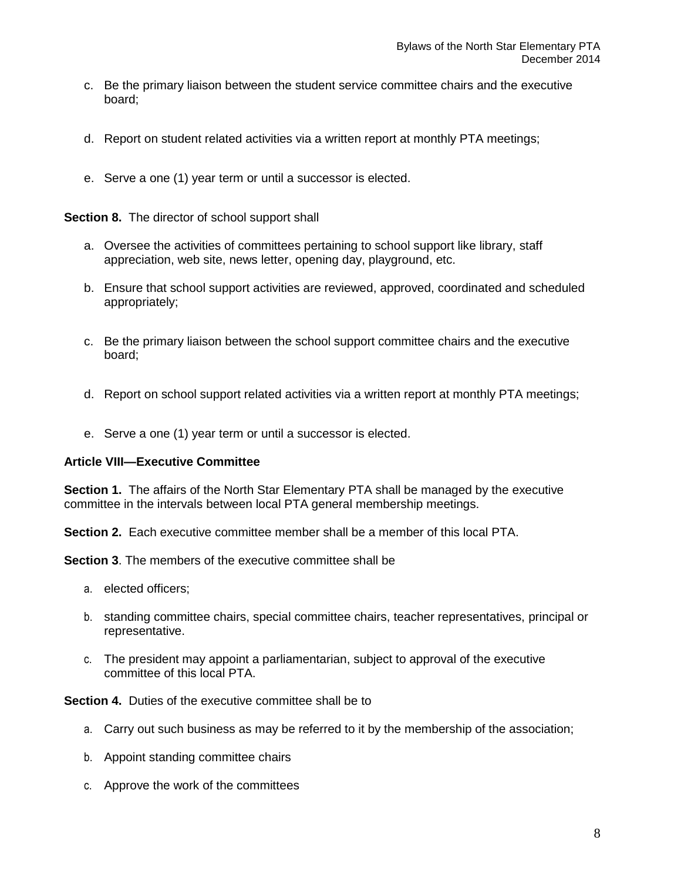- c. Be the primary liaison between the student service committee chairs and the executive board;
- d. Report on student related activities via a written report at monthly PTA meetings;
- e. Serve a one (1) year term or until a successor is elected.

#### **Section 8.** The director of school support shall

- a. Oversee the activities of committees pertaining to school support like library, staff appreciation, web site, news letter, opening day, playground, etc.
- b. Ensure that school support activities are reviewed, approved, coordinated and scheduled appropriately;
- c. Be the primary liaison between the school support committee chairs and the executive board;
- d. Report on school support related activities via a written report at monthly PTA meetings;
- e. Serve a one (1) year term or until a successor is elected.

#### **Article VIII—Executive Committee**

**Section 1.** The affairs of the North Star Elementary PTA shall be managed by the executive committee in the intervals between local PTA general membership meetings.

**Section 2.** Each executive committee member shall be a member of this local PTA.

**Section 3**. The members of the executive committee shall be

- a. elected officers;
- b. standing committee chairs, special committee chairs, teacher representatives, principal or representative.
- c. The president may appoint a parliamentarian, subject to approval of the executive committee of this local PTA.

**Section 4.** Duties of the executive committee shall be to

- a. Carry out such business as may be referred to it by the membership of the association;
- b. Appoint standing committee chairs
- c. Approve the work of the committees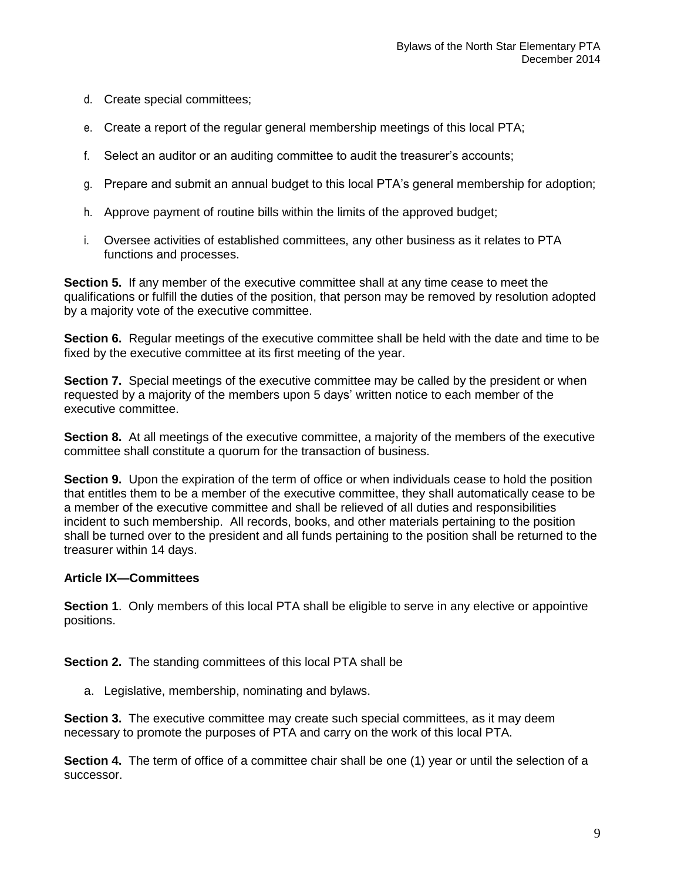- d. Create special committees;
- e. Create a report of the regular general membership meetings of this local PTA;
- f. Select an auditor or an auditing committee to audit the treasurer's accounts;
- g. Prepare and submit an annual budget to this local PTA's general membership for adoption;
- h. Approve payment of routine bills within the limits of the approved budget;
- i. Oversee activities of established committees, any other business as it relates to PTA functions and processes.

**Section 5.** If any member of the executive committee shall at any time cease to meet the qualifications or fulfill the duties of the position, that person may be removed by resolution adopted by a majority vote of the executive committee.

**Section 6.** Regular meetings of the executive committee shall be held with the date and time to be fixed by the executive committee at its first meeting of the year.

**Section 7.** Special meetings of the executive committee may be called by the president or when requested by a majority of the members upon 5 days' written notice to each member of the executive committee.

**Section 8.** At all meetings of the executive committee, a majority of the members of the executive committee shall constitute a quorum for the transaction of business.

**Section 9.** Upon the expiration of the term of office or when individuals cease to hold the position that entitles them to be a member of the executive committee, they shall automatically cease to be a member of the executive committee and shall be relieved of all duties and responsibilities incident to such membership. All records, books, and other materials pertaining to the position shall be turned over to the president and all funds pertaining to the position shall be returned to the treasurer within 14 days.

#### **Article IX—Committees**

**Section 1**. Only members of this local PTA shall be eligible to serve in any elective or appointive positions.

**Section 2.** The standing committees of this local PTA shall be

a. Legislative, membership, nominating and bylaws.

**Section 3.** The executive committee may create such special committees, as it may deem necessary to promote the purposes of PTA and carry on the work of this local PTA.

**Section 4.** The term of office of a committee chair shall be one (1) year or until the selection of a successor.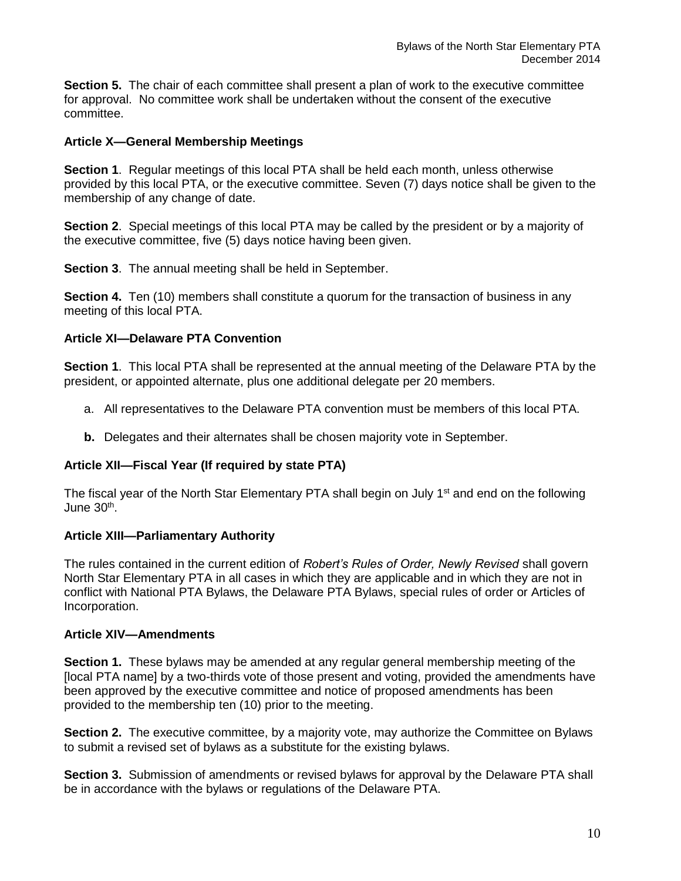**Section 5.** The chair of each committee shall present a plan of work to the executive committee for approval. No committee work shall be undertaken without the consent of the executive committee.

#### **Article X—General Membership Meetings**

**Section 1**. Regular meetings of this local PTA shall be held each month, unless otherwise provided by this local PTA, or the executive committee. Seven (7) days notice shall be given to the membership of any change of date.

**Section 2**. Special meetings of this local PTA may be called by the president or by a majority of the executive committee, five (5) days notice having been given.

**Section 3**. The annual meeting shall be held in September.

**Section 4.** Ten (10) members shall constitute a quorum for the transaction of business in any meeting of this local PTA.

## **Article XI—Delaware PTA Convention**

**Section 1**. This local PTA shall be represented at the annual meeting of the Delaware PTA by the president, or appointed alternate, plus one additional delegate per 20 members.

- a. All representatives to the Delaware PTA convention must be members of this local PTA.
- **b.** Delegates and their alternates shall be chosen majority vote in September.

#### **Article XII—Fiscal Year (If required by state PTA)**

The fiscal year of the North Star Elementary PTA shall begin on July 1<sup>st</sup> and end on the following June 30<sup>th</sup>.

#### **Article XIII—Parliamentary Authority**

The rules contained in the current edition of *Robert's Rules of Order, Newly Revised* shall govern North Star Elementary PTA in all cases in which they are applicable and in which they are not in conflict with National PTA Bylaws, the Delaware PTA Bylaws, special rules of order or Articles of Incorporation.

#### **Article XIV—Amendments**

**Section 1.** These bylaws may be amended at any regular general membership meeting of the [local PTA name] by a two-thirds vote of those present and voting, provided the amendments have been approved by the executive committee and notice of proposed amendments has been provided to the membership ten (10) prior to the meeting.

**Section 2.** The executive committee, by a majority vote, may authorize the Committee on Bylaws to submit a revised set of bylaws as a substitute for the existing bylaws.

**Section 3.** Submission of amendments or revised bylaws for approval by the Delaware PTA shall be in accordance with the bylaws or regulations of the Delaware PTA.